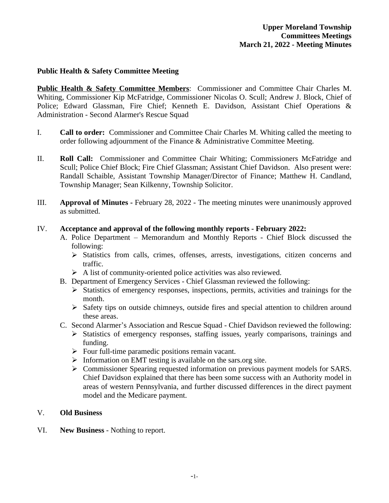## **Public Health & Safety Committee Meeting**

**Public Health & Safety Committee Members**: Commissioner and Committee Chair Charles M. Whiting, Commissioner Kip McFatridge, Commissioner Nicolas O. Scull; Andrew J. Block, Chief of Police; Edward Glassman, Fire Chief; Kenneth E. Davidson, Assistant Chief Operations & Administration - Second Alarmer's Rescue Squad

- I. **Call to order:** Commissioner and Committee Chair Charles M. Whiting called the meeting to order following adjournment of the Finance & Administrative Committee Meeting.
- II. **Roll Call:** Commissioner and Committee Chair Whiting; Commissioners McFatridge and Scull; Police Chief Block; Fire Chief Glassman; Assistant Chief Davidson. Also present were: Randall Schaible, Assistant Township Manager/Director of Finance; Matthew H. Candland, Township Manager; Sean Kilkenny, Township Solicitor.
- III. **Approval of Minutes -** February 28, 2022 The meeting minutes were unanimously approved as submitted.

### IV. **Acceptance and approval of the following monthly reports - February 2022:**

- A. Police Department Memorandum and Monthly Reports Chief Block discussed the following:
	- Statistics from calls, crimes, offenses, arrests, investigations, citizen concerns and traffic.
	- $\triangleright$  A list of community-oriented police activities was also reviewed.
- B. Department of Emergency Services Chief Glassman reviewed the following:
	- $\triangleright$  Statistics of emergency responses, inspections, permits, activities and trainings for the month.
	- $\triangleright$  Safety tips on outside chimneys, outside fires and special attention to children around these areas.
- C. Second Alarmer's Association and Rescue Squad Chief Davidson reviewed the following:
	- $\triangleright$  Statistics of emergency responses, staffing issues, yearly comparisons, trainings and funding.
	- $\triangleright$  Four full-time paramedic positions remain vacant.
	- $\triangleright$  Information on EMT testing is available on the sars.org site.
	- Commissioner Spearing requested information on previous payment models for SARS. Chief Davidson explained that there has been some success with an Authority model in areas of western Pennsylvania, and further discussed differences in the direct payment model and the Medicare payment.

# V. **Old Business**

VI. **New Business** - Nothing to report.